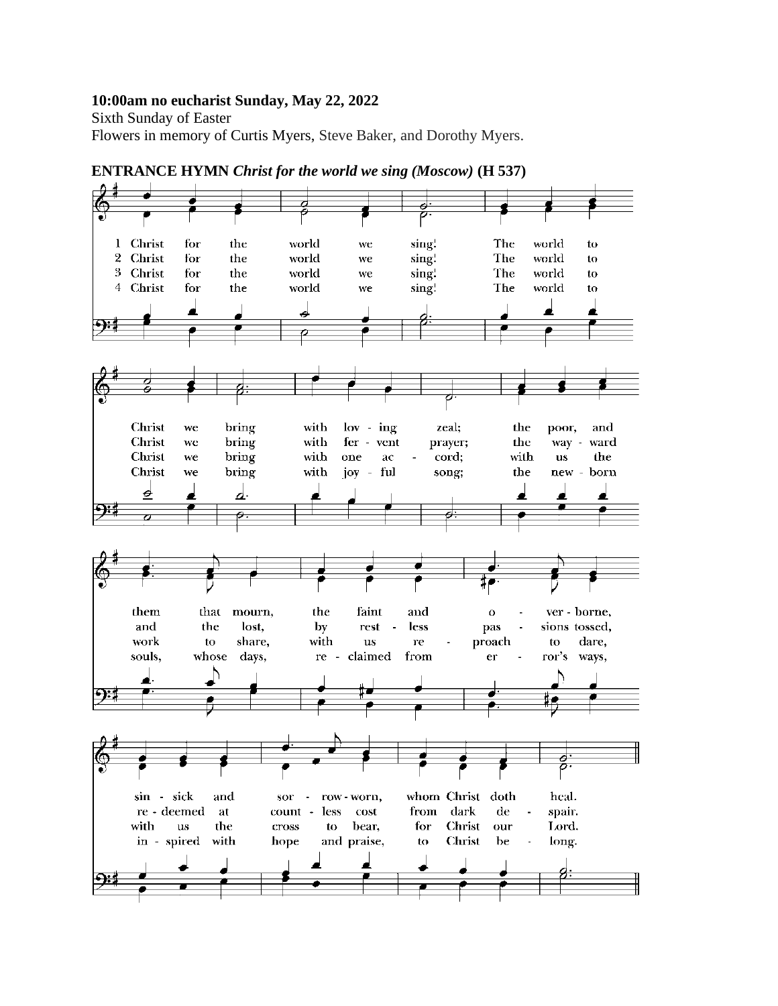#### **10:00am no eucharist Sunday, May 22, 2022**

Sixth Sunday of Easter Flowers in memory of Curtis Myers, Steve Baker, and Dorothy Myers.



**ENTRANCE HYMN** *Christ for the world we sing (Moscow)* **(H 537)**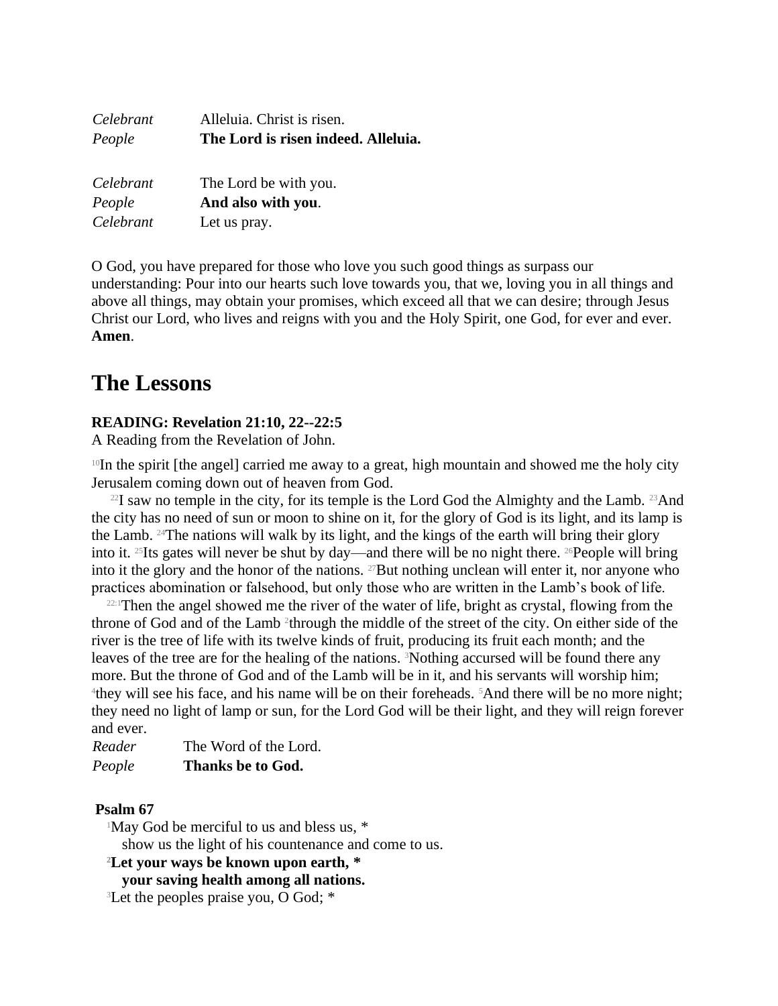| Celebrant | Alleluia. Christ is risen.          |
|-----------|-------------------------------------|
| People    | The Lord is risen indeed. Alleluia. |
| Celebrant | The Lord be with you.               |
| People    | And also with you.                  |
| Celebrant | Let us pray.                        |

O God, you have prepared for those who love you such good things as surpass our understanding: Pour into our hearts such love towards you, that we, loving you in all things and above all things, may obtain your promises, which exceed all that we can desire; through Jesus Christ our Lord, who lives and reigns with you and the Holy Spirit, one God, for ever and ever. **Amen**.

# **The Lessons**

## **READING: Revelation 21:10, 22--22:5**

A Reading from the Revelation of John.

<sup>10</sup>In the spirit [the angel] carried me away to a great, high mountain and showed me the holy city Jerusalem coming down out of heaven from God.

 $^{22}I$  saw no temple in the city, for its temple is the Lord God the Almighty and the Lamb.  $^{23}$ And the city has no need of sun or moon to shine on it, for the glory of God is its light, and its lamp is the Lamb. 24The nations will walk by its light, and the kings of the earth will bring their glory into it. 25Its gates will never be shut by day—and there will be no night there. 26People will bring into it the glory and the honor of the nations. 27But nothing unclean will enter it, nor anyone who practices abomination or falsehood, but only those who are written in the Lamb's book of life.

<sup>22:1</sup>Then the angel showed me the river of the water of life, bright as crystal, flowing from the throne of God and of the Lamb<sup>2</sup> through the middle of the street of the city. On either side of the river is the tree of life with its twelve kinds of fruit, producing its fruit each month; and the leaves of the tree are for the healing of the nations. 3Nothing accursed will be found there any more. But the throne of God and of the Lamb will be in it, and his servants will worship him; <sup>4</sup>they will see his face, and his name will be on their foreheads. <sup>5</sup>And there will be no more night; they need no light of lamp or sun, for the Lord God will be their light, and they will reign forever and ever.

*Reader* The Word of the Lord. *People* **Thanks be to God.**

### **Psalm 67**

<sup>1</sup>May God be merciful to us and bless us, \*

show us the light of his countenance and come to us.

#### **<sup>2</sup>Let your ways be known upon earth, \***

**your saving health among all nations.**

<sup>3</sup>Let the peoples praise you, O God; \*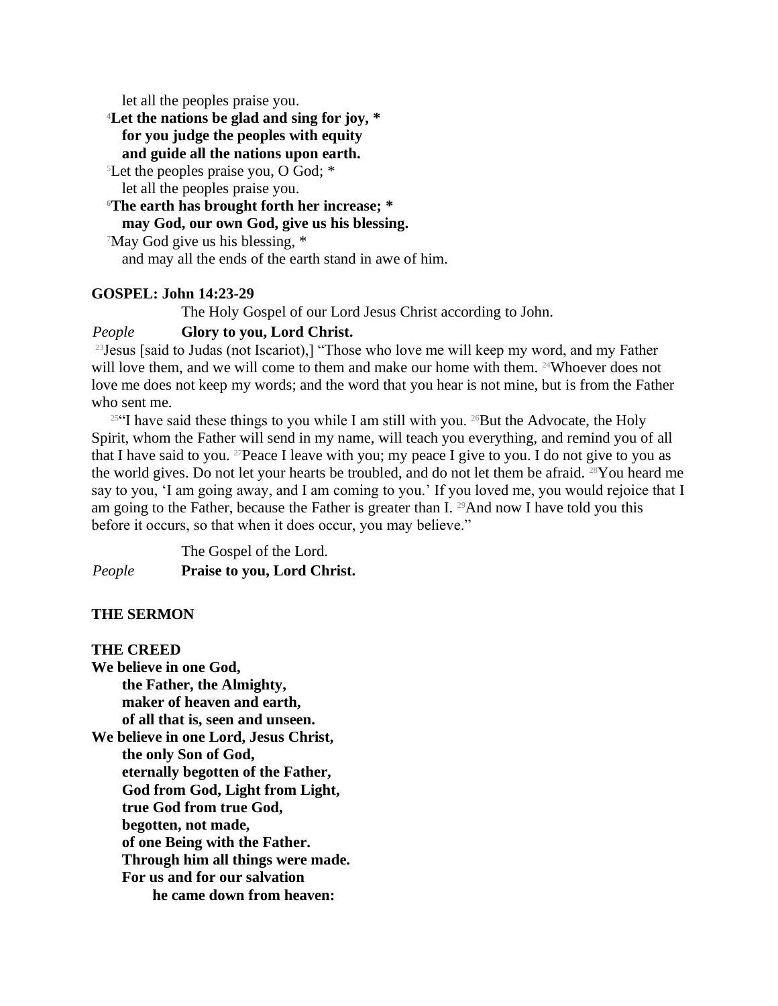let all the peoples praise you.

**<sup>4</sup>Let the nations be glad and sing for joy, \***

**for you judge the peoples with equity**

**and guide all the nations upon earth.**

<sup>5</sup>Let the peoples praise you, O God; \* let all the peoples praise you.

**<sup>6</sup>The earth has brought forth her increase; \***

# **may God, our own God, give us his blessing.**

<sup>7</sup>May God give us his blessing, \*

and may all the ends of the earth stand in awe of him.

#### **GOSPEL: John 14:23-29**

The Holy Gospel of our Lord Jesus Christ according to John.

#### *People* **Glory to you, Lord Christ.**

<sup>23</sup> Jesus [said to Judas (not Iscariot),] "Those who love me will keep my word, and my Father will love them, and we will come to them and make our home with them. <sup>24</sup>Whoever does not love me does not keep my words; and the word that you hear is not mine, but is from the Father who sent me.

 $25$ <sup>4</sup>I have said these things to you while I am still with you. <sup>26</sup>But the Advocate, the Holy Spirit, whom the Father will send in my name, will teach you everything, and remind you of all that I have said to you. <sup>27</sup>Peace I leave with you; my peace I give to you. I do not give to you as the world gives. Do not let your hearts be troubled, and do not let them be afraid. 28You heard me say to you, 'I am going away, and I am coming to you.' If you loved me, you would rejoice that I am going to the Father, because the Father is greater than I. 29And now I have told you this before it occurs, so that when it does occur, you may believe."

The Gospel of the Lord. *People* **Praise to you, Lord Christ.**

#### **THE SERMON**

#### **THE CREED**

**We believe in one God, the Father, the Almighty, maker of heaven and earth, of all that is, seen and unseen. We believe in one Lord, Jesus Christ, the only Son of God, eternally begotten of the Father, God from God, Light from Light, true God from true God, begotten, not made, of one Being with the Father. Through him all things were made. For us and for our salvation he came down from heaven:**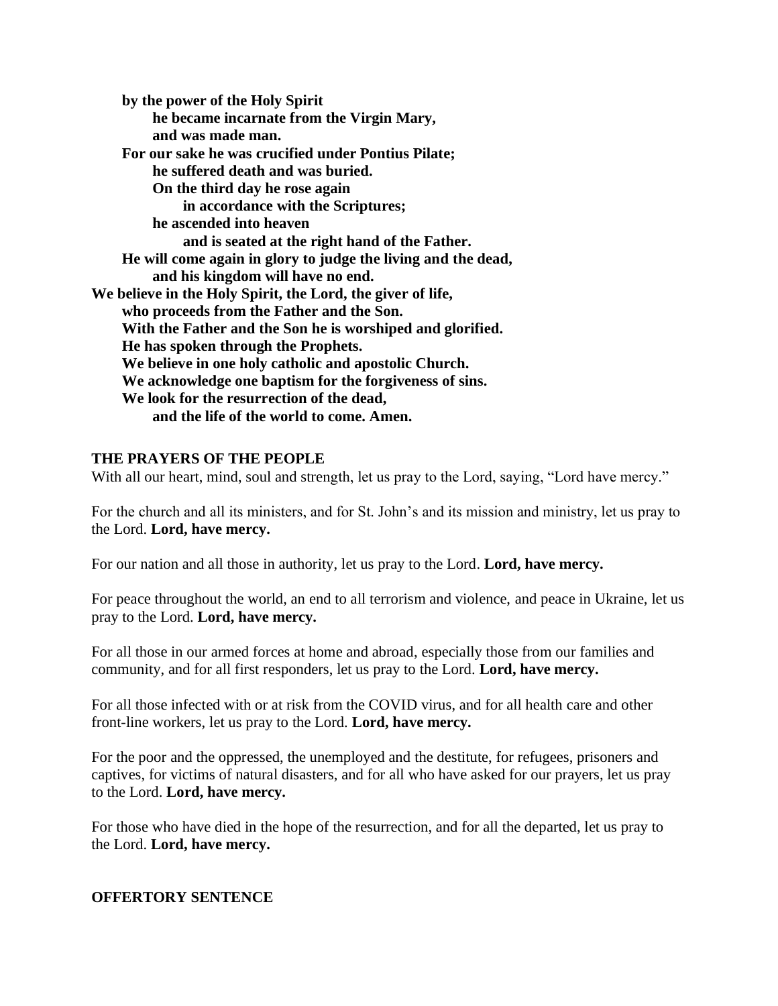**by the power of the Holy Spirit he became incarnate from the Virgin Mary, and was made man. For our sake he was crucified under Pontius Pilate; he suffered death and was buried. On the third day he rose again in accordance with the Scriptures; he ascended into heaven and is seated at the right hand of the Father. He will come again in glory to judge the living and the dead, and his kingdom will have no end. We believe in the Holy Spirit, the Lord, the giver of life, who proceeds from the Father and the Son. With the Father and the Son he is worshiped and glorified. He has spoken through the Prophets. We believe in one holy catholic and apostolic Church. We acknowledge one baptism for the forgiveness of sins. We look for the resurrection of the dead, and the life of the world to come. Amen.**

#### **THE PRAYERS OF THE PEOPLE**

With all our heart, mind, soul and strength, let us pray to the Lord, saying, "Lord have mercy."

For the church and all its ministers, and for St. John's and its mission and ministry, let us pray to the Lord. **Lord, have mercy.**

For our nation and all those in authority, let us pray to the Lord. **Lord, have mercy.**

For peace throughout the world, an end to all terrorism and violence, and peace in Ukraine, let us pray to the Lord. **Lord, have mercy.**

For all those in our armed forces at home and abroad, especially those from our families and community, and for all first responders, let us pray to the Lord. **Lord, have mercy.**

For all those infected with or at risk from the COVID virus, and for all health care and other front-line workers, let us pray to the Lord. **Lord, have mercy.**

For the poor and the oppressed, the unemployed and the destitute, for refugees, prisoners and captives, for victims of natural disasters, and for all who have asked for our prayers, let us pray to the Lord. **Lord, have mercy.**

For those who have died in the hope of the resurrection, and for all the departed, let us pray to the Lord. **Lord, have mercy.**

#### **OFFERTORY SENTENCE**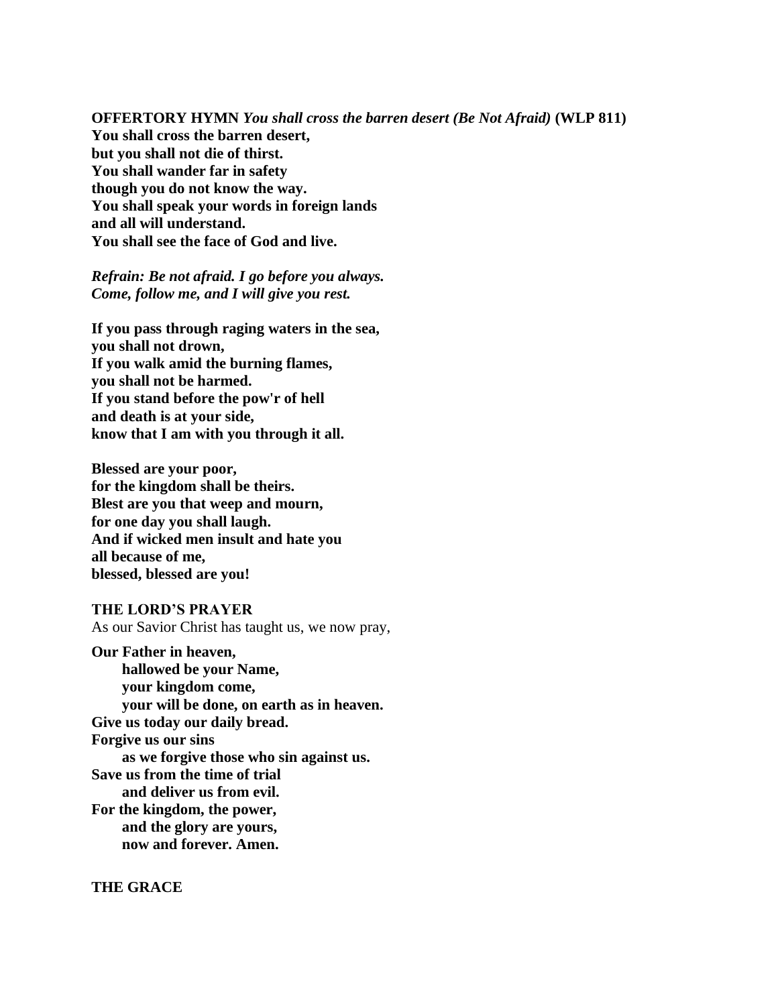**OFFERTORY HYMN** *You shall cross the barren desert (Be Not Afraid)* **(WLP 811) You shall cross the barren desert, but you shall not die of thirst. You shall wander far in safety though you do not know the way. You shall speak your words in foreign lands and all will understand. You shall see the face of God and live.**

#### *Refrain: Be not afraid. I go before you always. Come, follow me, and I will give you rest.*

**If you pass through raging waters in the sea, you shall not drown, If you walk amid the burning flames, you shall not be harmed. If you stand before the pow'r of hell and death is at your side, know that I am with you through it all.**

**Blessed are your poor, for the kingdom shall be theirs. Blest are you that weep and mourn, for one day you shall laugh. And if wicked men insult and hate you all because of me, blessed, blessed are you!**

**THE LORD'S PRAYER** As our Savior Christ has taught us, we now pray,

**Our Father in heaven, hallowed be your Name, your kingdom come, your will be done, on earth as in heaven. Give us today our daily bread. Forgive us our sins as we forgive those who sin against us. Save us from the time of trial and deliver us from evil. For the kingdom, the power, and the glory are yours, now and forever. Amen.**

**THE GRACE**